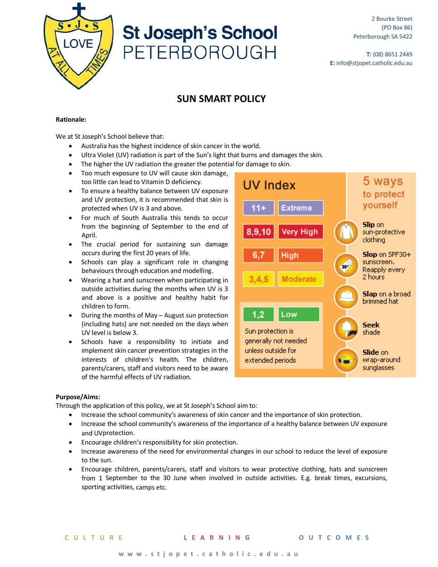

# **St Joseph's School PETERBOROUGH**

**T:** (08) 8651 2449 **E:** info@stjopet.catholic.edu.au

# **SUN SMART POLICY**

# **Rationale:**

We at St Joseph's School believe that:

- Australia has the highest incidence of skin cancer in the world.
- Ultra Violet (UV) radiation is part of the Sun's light that burns and damages the skin.
- The higher the UV radiation the greater the potential for damage to skin.
- Too much exposure to UV will cause skin damage, too little can lead to Vitamin D deficiency.
- To ensure a healthy balance between UV exposure and UV protection, it is recommended that skin is protected when UV is 3 and above.
- For much of South Australia this tends to occur from the beginning of September to the end of April.
- The crucial period for sustaining sun damage occurs during the first 20 years of life.
- Schools can play a significant role in changing behaviours through education and modelling.
- Wearing a hat and sunscreen when participating in outside activities during the months when UV is 3 and above is a positive and healthy habit for children to form.
- During the months of May August sun protection (including hats) are not needed on the days when UV level is below 3.
- Schools have a responsibility to initiate and implement skin cancer prevention strategies in the interests of children's health. The children, parents/carers, staff and visitors need to be aware of the harmful effects of UV radiation.



# **Purpose/Aims:**

Through the application of this policy, we at St Joseph's School aim to:

- Increase the school community's awareness of skin cancer and the importance of skin protection.
- Increase the school community's awareness of the importance of a healthy balance between UV exposure and UVprotection.
- Encourage children's responsibility for skin protection.
- Increase awareness of the need for environmental changes in our school to reduce the level of exposure to the sun.
- Encourage children, parents/carers, staff and visitors to wear protective clothing, hats and sunscreen from 1 September to the 30 June when involved in outside activities. E.g. break times, excursions, sporting activities, camps etc.

**CULTURE LEARNING OUTCOMES**